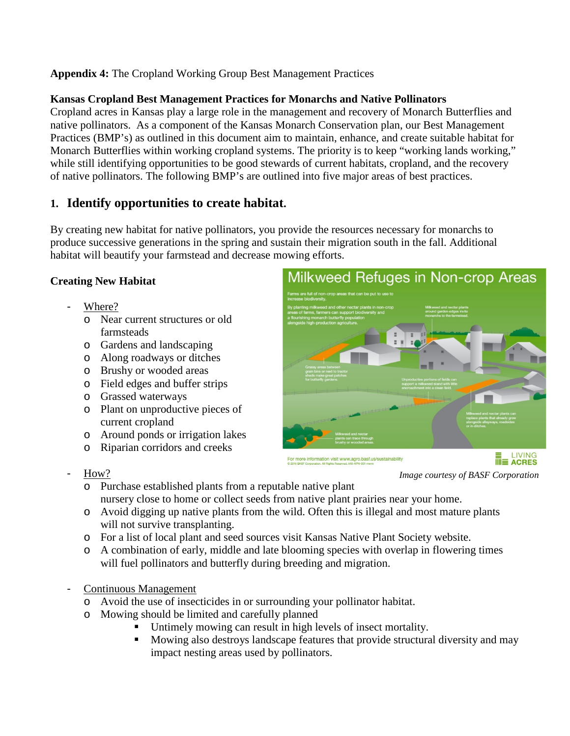**Appendix 4:** The Cropland Working Group Best Management Practices

### **Kansas Cropland Best Management Practices for Monarchs and Native Pollinators**

Cropland acres in Kansas play a large role in the management and recovery of Monarch Butterflies and native pollinators. As a component of the Kansas Monarch Conservation plan, our Best Management Practices (BMP's) as outlined in this document aim to maintain, enhance, and create suitable habitat for Monarch Butterflies within working cropland systems. The priority is to keep "working lands working," while still identifying opportunities to be good stewards of current habitats, cropland, and the recovery of native pollinators. The following BMP's are outlined into five major areas of best practices.

# **1. Identify opportunities to create habitat.**

By creating new habitat for native pollinators, you provide the resources necessary for monarchs to produce successive generations in the spring and sustain their migration south in the fall. Additional habitat will beautify your farmstead and decrease mowing efforts.

### **Creating New Habitat**

- Where?
	- o Near current structures or old farmsteads
	- o Gardens and landscaping
	- o Along roadways or ditches
	- o Brushy or wooded areas
	- o Field edges and buffer strips
	- o Grassed waterways
	- o Plant on unproductive pieces of current cropland
	- o Around ponds or irrigation lakes
	- o Riparian corridors and creeks
- How?



*Image courtesy of BASF Corporation*

- o Purchase established plants from a reputable native plant nursery close to home or collect seeds from native plant prairies near your home.
- o Avoid digging up native plants from the wild. Often this is illegal and most mature plants will not survive transplanting.
- o For a list of local plant and seed sources visit Kansas Native Plant Society website.
- o A combination of early, middle and late blooming species with overlap in flowering times will fuel pollinators and butterfly during breeding and migration.
- Continuous Management
	- o Avoid the use of insecticides in or surrounding your pollinator habitat.
	- o Mowing should be limited and carefully planned
		- Untimely mowing can result in high levels of insect mortality.
		- Mowing also destroys landscape features that provide structural diversity and may impact nesting areas used by pollinators.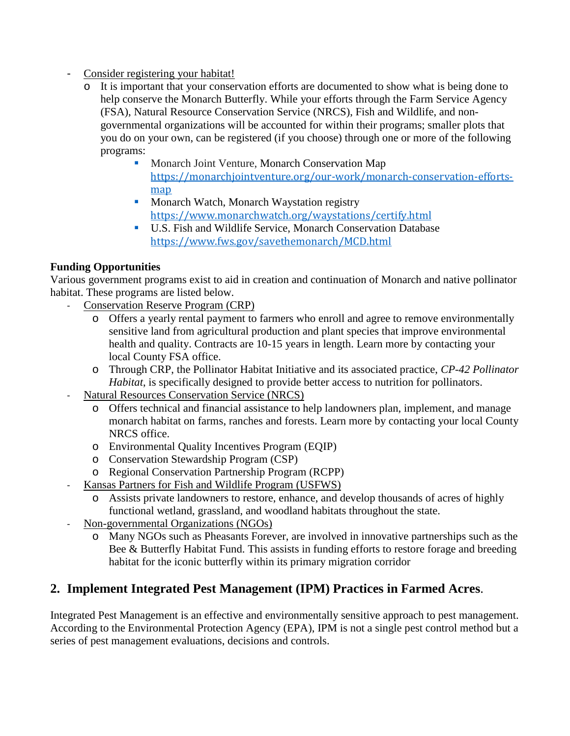- Consider registering your habitat!
	- o It is important that your conservation efforts are documented to show what is being done to help conserve the Monarch Butterfly. While your efforts through the Farm Service Agency (FSA), Natural Resource Conservation Service (NRCS), Fish and Wildlife, and nongovernmental organizations will be accounted for within their programs; smaller plots that you do on your own, can be registered (if you choose) through one or more of the following programs:
		- **Monarch Joint Venture, Monarch Conservation Map** [https://monarchjointventure.org/our-work/monarch-conservation-efforts](https://monarchjointventure.org/our-work/monarch-conservation-efforts-map)[map](https://monarchjointventure.org/our-work/monarch-conservation-efforts-map)
		- **Monarch Watch, Monarch Waystation registry** <https://www.monarchwatch.org/waystations/certify.html>
		- U.S. Fish and Wildlife Service, Monarch Conservation Database <https://www.fws.gov/savethemonarch/MCD.html>

### **Funding Opportunities**

Various government programs exist to aid in creation and continuation of Monarch and native pollinator habitat. These programs are listed below.

- Conservation Reserve Program (CRP)
	- o Offers a yearly rental payment to farmers who enroll and agree to remove environmentally sensitive land from agricultural production and plant species that improve environmental health and quality. Contracts are 10-15 years in length. Learn more by contacting your local County FSA office.
	- o Through CRP, the Pollinator Habitat Initiative and its associated practice, *CP-42 Pollinator Habitat*, is specifically designed to provide better access to nutrition for pollinators.
- Natural Resources Conservation Service (NRCS)
	- o Offers technical and financial assistance to help landowners plan, implement, and manage monarch habitat on farms, ranches and forests. Learn more by contacting your local County NRCS office.
	- o Environmental Quality Incentives Program (EQIP)
	- o Conservation Stewardship Program (CSP)
	- o Regional Conservation Partnership Program (RCPP)
- Kansas Partners for Fish and Wildlife Program (USFWS)
	- o Assists private landowners to restore, enhance, and develop thousands of acres of highly functional wetland, grassland, and woodland habitats throughout the state.
- Non-governmental Organizations (NGOs)
	- o Many NGOs such as Pheasants Forever, are involved in innovative partnerships such as the Bee & Butterfly Habitat Fund. This assists in funding efforts to restore forage and breeding habitat for the iconic butterfly within its primary migration corridor

# **2. Implement Integrated Pest Management (IPM) Practices in Farmed Acres**.

Integrated Pest Management is an effective and environmentally sensitive approach to pest management. According to the Environmental Protection Agency (EPA), IPM is not a single pest control method but a series of pest management evaluations, decisions and controls.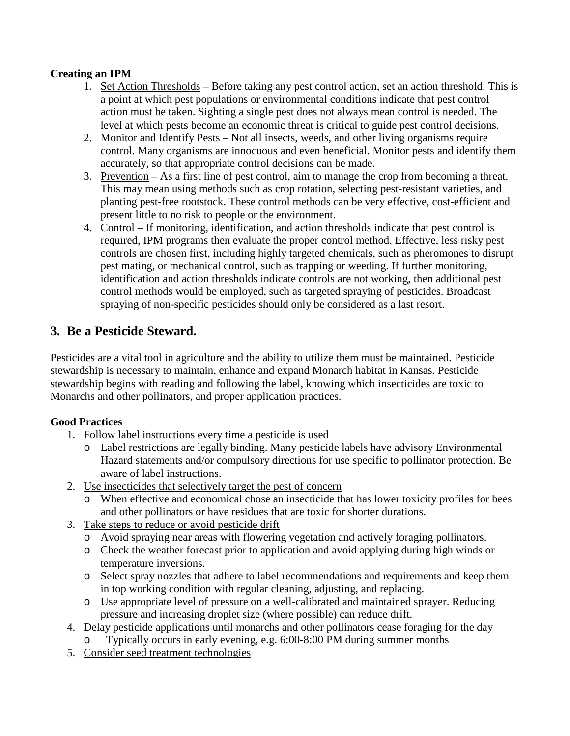### **Creating an IPM**

- 1. Set Action Thresholds Before taking any pest control action, set an action threshold. This is a point at which pest populations or environmental conditions indicate that pest control action must be taken. Sighting a single pest does not always mean control is needed. The level at which pests become an economic threat is critical to guide pest control decisions.
- 2. Monitor and Identify Pests Not all insects, weeds, and other living organisms require control. Many organisms are innocuous and even beneficial. Monitor pests and identify them accurately, so that appropriate control decisions can be made.
- 3. Prevention As a first line of pest control, aim to manage the crop from becoming a threat. This may mean using methods such as crop rotation, selecting pest-resistant varieties, and planting pest-free rootstock. These control methods can be very effective, cost-efficient and present little to no risk to people or the environment.
- 4. Control If monitoring, identification, and action thresholds indicate that pest control is required, IPM programs then evaluate the proper control method. Effective, less risky pest controls are chosen first, including highly targeted chemicals, such as pheromones to disrupt pest mating, or mechanical control, such as trapping or weeding. If further monitoring, identification and action thresholds indicate controls are not working, then additional pest control methods would be employed, such as targeted spraying of pesticides. Broadcast spraying of non-specific pesticides should only be considered as a last resort.

# **3. Be a Pesticide Steward.**

Pesticides are a vital tool in agriculture and the ability to utilize them must be maintained. Pesticide stewardship is necessary to maintain, enhance and expand Monarch habitat in Kansas. Pesticide stewardship begins with reading and following the label, knowing which insecticides are toxic to Monarchs and other pollinators, and proper application practices.

#### **Good Practices**

- 1. Follow label instructions every time a pesticide is used
	- o Label restrictions are legally binding. Many pesticide labels have advisory Environmental Hazard statements and/or compulsory directions for use specific to pollinator protection. Be aware of label instructions.
- 2. Use insecticides that selectively target the pest of concern
	- o When effective and economical chose an insecticide that has lower toxicity profiles for bees and other pollinators or have residues that are toxic for shorter durations.
- 3. Take steps to reduce or avoid pesticide drift
	- o Avoid spraying near areas with flowering vegetation and actively foraging pollinators.
	- o Check the weather forecast prior to application and avoid applying during high winds or temperature inversions.
	- o Select spray nozzles that adhere to label recommendations and requirements and keep them in top working condition with regular cleaning, adjusting, and replacing.
	- o Use appropriate level of pressure on a well-calibrated and maintained sprayer. Reducing pressure and increasing droplet size (where possible) can reduce drift.
- 4. Delay pesticide applications until monarchs and other pollinators cease foraging for the day
	- Typically occurs in early evening, e.g. 6:00-8:00 PM during summer months
- 5. Consider seed treatment technologies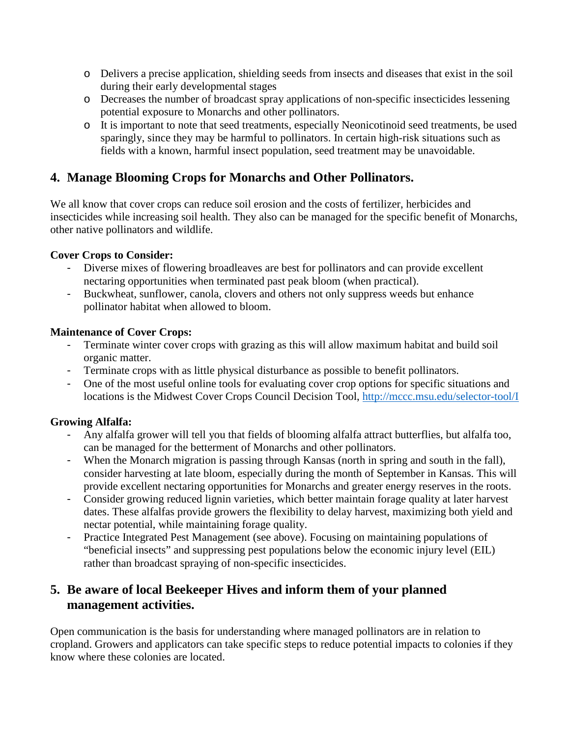- o Delivers a precise application, shielding seeds from insects and diseases that exist in the soil during their early developmental stages
- o Decreases the number of broadcast spray applications of non-specific insecticides lessening potential exposure to Monarchs and other pollinators.
- o It is important to note that seed treatments, especially Neonicotinoid seed treatments, be used sparingly, since they may be harmful to pollinators. In certain high-risk situations such as fields with a known, harmful insect population, seed treatment may be unavoidable.

# **4. Manage Blooming Crops for Monarchs and Other Pollinators.**

We all know that cover crops can reduce soil erosion and the costs of fertilizer, herbicides and insecticides while increasing soil health. They also can be managed for the specific benefit of Monarchs, other native pollinators and wildlife.

### **Cover Crops to Consider:**

- Diverse mixes of flowering broadleaves are best for pollinators and can provide excellent nectaring opportunities when terminated past peak bloom (when practical).
- Buckwheat, sunflower, canola, clovers and others not only suppress weeds but enhance pollinator habitat when allowed to bloom.

#### **Maintenance of Cover Crops:**

- Terminate winter cover crops with grazing as this will allow maximum habitat and build soil organic matter.
- Terminate crops with as little physical disturbance as possible to benefit pollinators.
- One of the most useful online tools for evaluating cover crop options for specific situations and locations is the Midwest Cover Crops Council Decision Tool, [http://mccc.msu.edu/selector-tool/I](http://mccc.msu.edu/selector-tool/)

### **Growing Alfalfa:**

- Any alfalfa grower will tell you that fields of blooming alfalfa attract butterflies, but alfalfa too, can be managed for the betterment of Monarchs and other pollinators.
- When the Monarch migration is passing through Kansas (north in spring and south in the fall), consider harvesting at late bloom, especially during the month of September in Kansas. This will provide excellent nectaring opportunities for Monarchs and greater energy reserves in the roots.
- Consider growing reduced lignin varieties, which better maintain forage quality at later harvest dates. These alfalfas provide growers the flexibility to delay harvest, maximizing both yield and nectar potential, while maintaining forage quality.
- Practice Integrated Pest Management (see above). Focusing on maintaining populations of "beneficial insects" and suppressing pest populations below the economic injury level (EIL) rather than broadcast spraying of non-specific insecticides.

# **5. Be aware of local Beekeeper Hives and inform them of your planned management activities.**

Open communication is the basis for understanding where managed pollinators are in relation to cropland. Growers and applicators can take specific steps to reduce potential impacts to colonies if they know where these colonies are located.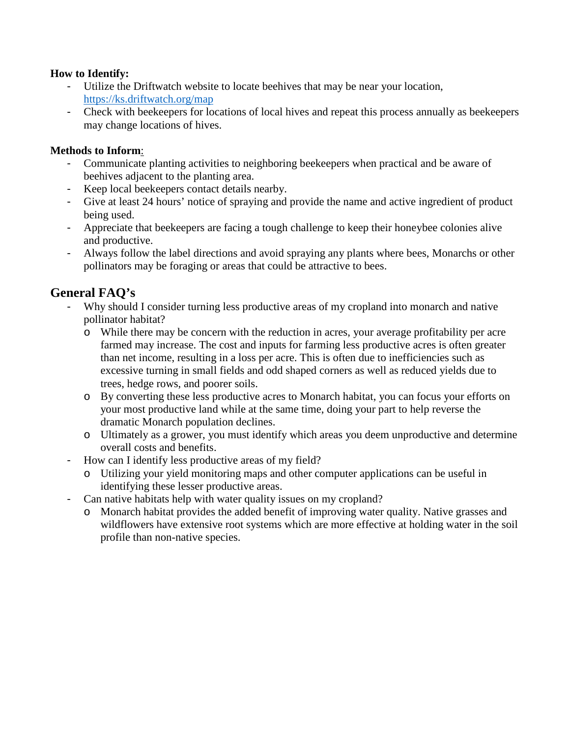#### **How to Identify:**

- Utilize the Driftwatch website to locate beehives that may be near your location, <https://ks.driftwatch.org/map>
- Check with beekeepers for locations of local hives and repeat this process annually as beekeepers may change locations of hives.

#### **Methods to Inform**:

- Communicate planting activities to neighboring beekeepers when practical and be aware of beehives adjacent to the planting area.
- Keep local beekeepers contact details nearby.
- Give at least 24 hours' notice of spraying and provide the name and active ingredient of product being used.
- Appreciate that beekeepers are facing a tough challenge to keep their honeybee colonies alive and productive.
- Always follow the label directions and avoid spraying any plants where bees, Monarchs or other pollinators may be foraging or areas that could be attractive to bees.

# **General FAQ's**

- Why should I consider turning less productive areas of my cropland into monarch and native pollinator habitat?
	- o While there may be concern with the reduction in acres, your average profitability per acre farmed may increase. The cost and inputs for farming less productive acres is often greater than net income, resulting in a loss per acre. This is often due to inefficiencies such as excessive turning in small fields and odd shaped corners as well as reduced yields due to trees, hedge rows, and poorer soils.
	- o By converting these less productive acres to Monarch habitat, you can focus your efforts on your most productive land while at the same time, doing your part to help reverse the dramatic Monarch population declines.
	- o Ultimately as a grower, you must identify which areas you deem unproductive and determine overall costs and benefits.
- How can I identify less productive areas of my field?
	- o Utilizing your yield monitoring maps and other computer applications can be useful in identifying these lesser productive areas.
- Can native habitats help with water quality issues on my cropland?
	- o Monarch habitat provides the added benefit of improving water quality. Native grasses and wildflowers have extensive root systems which are more effective at holding water in the soil profile than non-native species.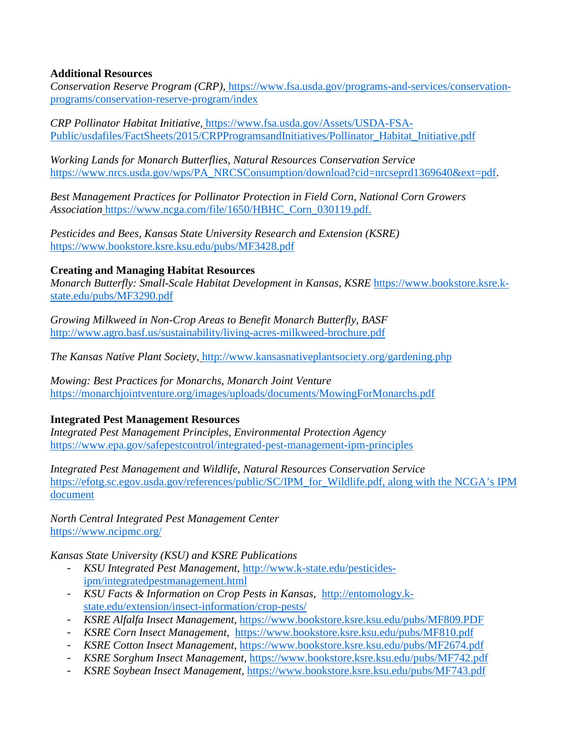#### **Additional Resources**

*Conservation Reserve Program (CRP),* https://www.fsa.usda.gov/programs-and-services/conservationprograms/conservation-reserve-program/index

*CRP Pollinator Habitat Initiative,* [https://www.fsa.usda.gov/Assets/USDA-FSA-](https://www.fsa.usda.gov/Assets/USDA-FSA-Public/usdafiles/FactSheets/2015/CRPProgramsandInitiatives/Pollinator_Habitat_Initiative.pdf)[Public/usdafiles/FactSheets/2015/CRPProgramsandInitiatives/Pollinator\\_Habitat\\_Initiative.pdf](https://www.fsa.usda.gov/Assets/USDA-FSA-Public/usdafiles/FactSheets/2015/CRPProgramsandInitiatives/Pollinator_Habitat_Initiative.pdf)

*Working Lands for Monarch Butterflies*, *Natural Resources Conservation Service*  [https://www.nrcs.usda.gov/wps/PA\\_NRCSConsumption/download?cid=nrcseprd1369640&ext=pdf.](https://www.nrcs.usda.gov/wps/PA_NRCSConsumption/download?cid=nrcseprd1369640&ext=pdf)

*Best Management Practices for Pollinator Protection in Field Corn, National Corn Growers Association* [https://www.ncga.com/file/1650/HBHC\\_Corn\\_030119.pdf.](https://www.ncga.com/file/1650/HBHC_Corn_030119.pdf)

*Pesticides and Bees, Kansas State University Research and Extension (KSRE)*  <https://www.bookstore.ksre.ksu.edu/pubs/MF3428.pdf>

#### **Creating and Managing Habitat Resources**

*Monarch Butterfly: Small-Scale Habitat Development in Kansas*, *KSRE* [https://www.bookstore.ksre.k](https://www.bookstore.ksre.k-state.edu/pubs/MF3290.pdf)[state.edu/pubs/MF3290.pdf](https://www.bookstore.ksre.k-state.edu/pubs/MF3290.pdf)

*Growing Milkweed in Non-Crop Areas to Benefit Monarch Butterfly, BASF* <http://www.agro.basf.us/sustainability/living-acres-milkweed-brochure.pdf>

*The Kansas Native Plant Society,* <http://www.kansasnativeplantsociety.org/gardening.php>

*Mowing: Best Practices for Monarchs*, *Monarch Joint Venture* <https://monarchjointventure.org/images/uploads/documents/MowingForMonarchs.pdf>

#### **Integrated Pest Management Resources**

*Integrated Pest Management Principles, Environmental Protection Agency*  <https://www.epa.gov/safepestcontrol/integrated-pest-management-ipm-principles>

*Integrated Pest Management and Wildlife*, *Natural Resources Conservation Service*  [https://efotg.sc.egov.usda.gov/references/public/SC/IPM\\_for\\_Wildlife.pdf,](https://efotg.sc.egov.usda.gov/references/public/SC/IPM_for_Wildlife.pdf) along with the NCGA's IPM document

*North Central Integrated Pest Management Center* <https://www.ncipmc.org/>

#### *Kansas State University (KSU) and KSRE Publications*

- *KSU Integrated Pest Management*, [http://www.k-state.edu/pesticides](http://www.k-state.edu/pesticides-ipm/integratedpestmanagement.html)[ipm/integratedpestmanagement.html](http://www.k-state.edu/pesticides-ipm/integratedpestmanagement.html)
- *KSU Facts & Information on Crop Pests in Kansas,* [http://entomology.k](http://entomology.k-state.edu/extension/insect-information/crop-pests/)[state.edu/extension/insect-information/crop-pests/](http://entomology.k-state.edu/extension/insect-information/crop-pests/)
- *KSRE Alfalfa Insect Management*,<https://www.bookstore.ksre.ksu.edu/pubs/MF809.PDF>
- *KSRE Corn Insect Management*, <https://www.bookstore.ksre.ksu.edu/pubs/MF810.pdf>
- *KSRE Cotton Insect Management,* <https://www.bookstore.ksre.ksu.edu/pubs/MF2674.pdf>
- *KSRE Sorghum Insect Management,* <https://www.bookstore.ksre.ksu.edu/pubs/MF742.pdf>
- *KSRE Soybean Insect Management,* <https://www.bookstore.ksre.ksu.edu/pubs/MF743.pdf>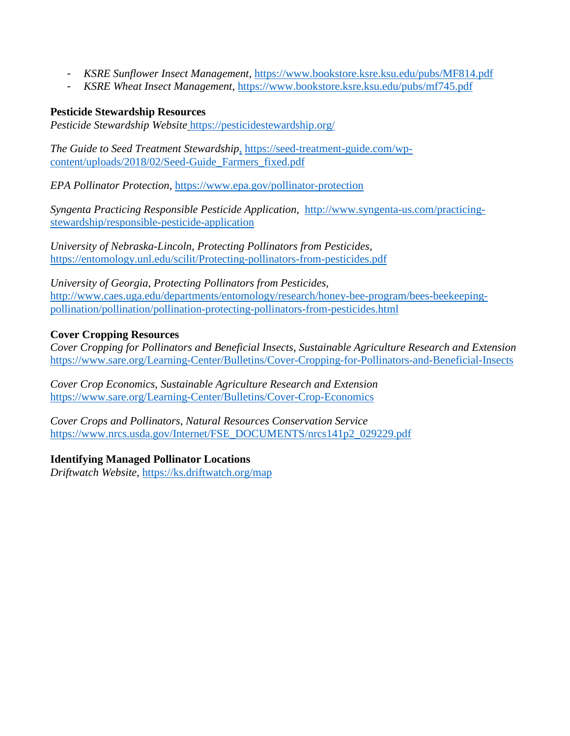- *KSRE Sunflower Insect Management,* <https://www.bookstore.ksre.ksu.edu/pubs/MF814.pdf>
- *KSRE Wheat Insect Management*,<https://www.bookstore.ksre.ksu.edu/pubs/mf745.pdf>

#### **Pesticide Stewardship Resources**

*Pesticide Stewardship Website* <https://pesticidestewardship.org/>

*The Guide to Seed Treatment Stewardship*, [https://seed-treatment-guide.com/wp](https://seed-treatment-guide.com/wp-content/uploads/2018/02/Seed-Guide_Farmers_fixed.pdf)[content/uploads/2018/02/Seed-Guide\\_Farmers\\_fixed.pdf](https://seed-treatment-guide.com/wp-content/uploads/2018/02/Seed-Guide_Farmers_fixed.pdf)

*EPA Pollinator Protection,* <https://www.epa.gov/pollinator-protection>

*Syngenta Practicing Responsible Pesticide Application,* [http://www.syngenta-us.com/practicing](http://www.syngenta-us.com/practicing-stewardship/responsible-pesticide-application)[stewardship/responsible-pesticide-application](http://www.syngenta-us.com/practicing-stewardship/responsible-pesticide-application)

*University of Nebraska-Lincoln, Protecting Pollinators from Pesticides,*  <https://entomology.unl.edu/scilit/Protecting-pollinators-from-pesticides.pdf>

*University of Georgia, Protecting Pollinators from Pesticides,* [http://www.caes.uga.edu/departments/entomology/research/honey-bee-program/bees-beekeeping](http://www.caes.uga.edu/departments/entomology/research/honey-bee-program/bees-beekeeping-pollination/pollination/pollination-protecting-pollinators-from-pesticides.html)[pollination/pollination/pollination-protecting-pollinators-from-pesticides.html](http://www.caes.uga.edu/departments/entomology/research/honey-bee-program/bees-beekeeping-pollination/pollination/pollination-protecting-pollinators-from-pesticides.html)

#### **Cover Cropping Resources**

*Cover Cropping for Pollinators and Beneficial Insects, Sustainable Agriculture Research and Extension*  <https://www.sare.org/Learning-Center/Bulletins/Cover-Cropping-for-Pollinators-and-Beneficial-Insects>

*Cover Crop Economics, Sustainable Agriculture Research and Extension* <https://www.sare.org/Learning-Center/Bulletins/Cover-Crop-Economics>

*Cover Crops and Pollinators, Natural Resources Conservation Service*  [https://www.nrcs.usda.gov/Internet/FSE\\_DOCUMENTS/nrcs141p2\\_029229.pdf](https://www.nrcs.usda.gov/Internet/FSE_DOCUMENTS/nrcs141p2_029229.pdf)

#### **Identifying Managed Pollinator Locations**

*Driftwatch Website,* <https://ks.driftwatch.org/map>